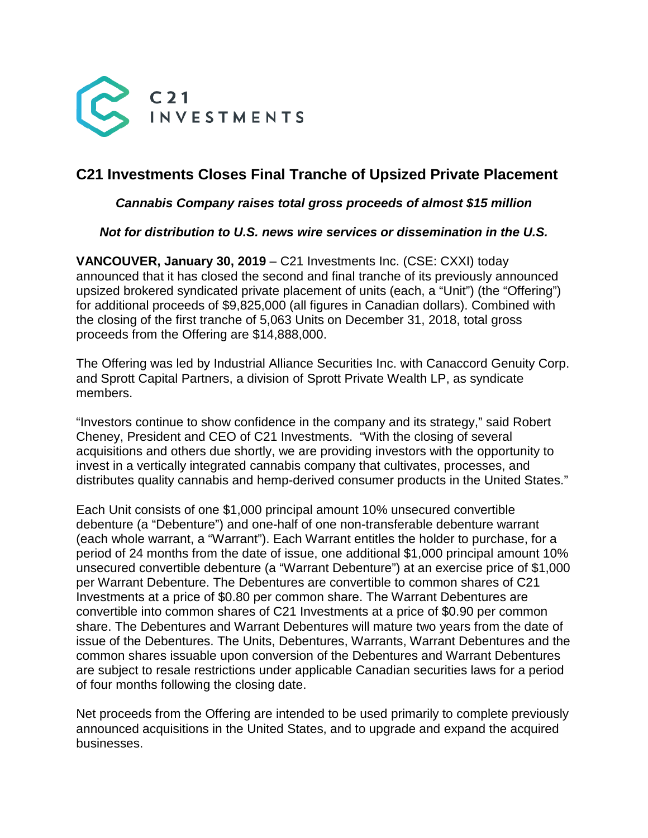

# **C21 Investments Closes Final Tranche of Upsized Private Placement**

## *Cannabis Company raises total gross proceeds of almost \$15 million*

## *Not for distribution to U.S. news wire services or dissemination in the U.S.*

**VANCOUVER, January 30, 2019** – C21 Investments Inc. (CSE: CXXI) today announced that it has closed the second and final tranche of its previously announced upsized brokered syndicated private placement of units (each, a "Unit") (the "Offering") for additional proceeds of \$9,825,000 (all figures in Canadian dollars). Combined with the closing of the first tranche of 5,063 Units on December 31, 2018, total gross proceeds from the Offering are \$14,888,000.

The Offering was led by Industrial Alliance Securities Inc. with Canaccord Genuity Corp. and Sprott Capital Partners, a division of Sprott Private Wealth LP, as syndicate members.

"Investors continue to show confidence in the company and its strategy," said Robert Cheney, President and CEO of C21 Investments. "With the closing of several acquisitions and others due shortly, we are providing investors with the opportunity to invest in a vertically integrated cannabis company that cultivates, processes, and distributes quality cannabis and hemp-derived consumer products in the United States."

Each Unit consists of one \$1,000 principal amount 10% unsecured convertible debenture (a "Debenture") and one-half of one non-transferable debenture warrant (each whole warrant, a "Warrant"). Each Warrant entitles the holder to purchase, for a period of 24 months from the date of issue, one additional \$1,000 principal amount 10% unsecured convertible debenture (a "Warrant Debenture") at an exercise price of \$1,000 per Warrant Debenture. The Debentures are convertible to common shares of C21 Investments at a price of \$0.80 per common share. The Warrant Debentures are convertible into common shares of C21 Investments at a price of \$0.90 per common share. The Debentures and Warrant Debentures will mature two years from the date of issue of the Debentures. The Units, Debentures, Warrants, Warrant Debentures and the common shares issuable upon conversion of the Debentures and Warrant Debentures are subject to resale restrictions under applicable Canadian securities laws for a period of four months following the closing date.

Net proceeds from the Offering are intended to be used primarily to complete previously announced acquisitions in the United States, and to upgrade and expand the acquired businesses.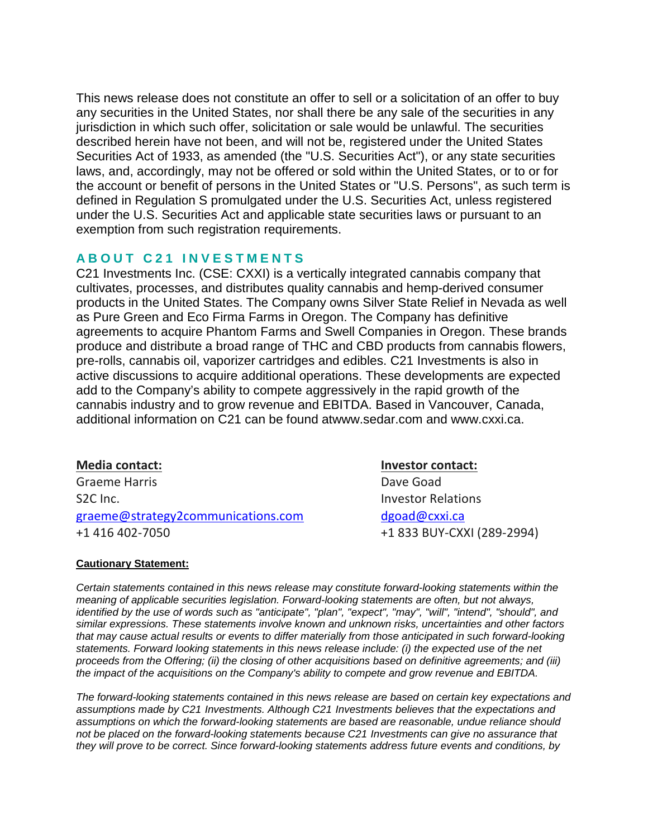This news release does not constitute an offer to sell or a solicitation of an offer to buy any securities in the United States, nor shall there be any sale of the securities in any jurisdiction in which such offer, solicitation or sale would be unlawful. The securities described herein have not been, and will not be, registered under the United States Securities Act of 1933, as amended (the "U.S. Securities Act"), or any state securities laws, and, accordingly, may not be offered or sold within the United States, or to or for the account or benefit of persons in the United States or "U.S. Persons", as such term is defined in Regulation S promulgated under the U.S. Securities Act, unless registered under the U.S. Securities Act and applicable state securities laws or pursuant to an exemption from such registration requirements.

## **ABOUT C21 INVESTMENT S**

C21 Investments Inc. (CSE: CXXI) is a vertically integrated cannabis company that cultivates, processes, and distributes quality cannabis and hemp-derived consumer products in the United States. The Company owns Silver State Relief in Nevada as well as Pure Green and Eco Firma Farms in Oregon. The Company has definitive agreements to acquire Phantom Farms and Swell Companies in Oregon. These brands produce and distribute a broad range of THC and CBD products from cannabis flowers, pre-rolls, cannabis oil, vaporizer cartridges and edibles. C21 Investments is also in active discussions to acquire additional operations. These developments are expected add to the Company's ability to compete aggressively in the rapid growth of the cannabis industry and to grow revenue and EBITDA. Based in Vancouver, Canada, additional information on C21 can be found atwww.sedar.com and [www.cxxi.ca.](http://www.cxxi.ca/)

## **Media contact: Investor contact:**

Graeme Harris **Dave Goad** S2C Inc. **Investor Relations** graeme@strategy2communications.com [dgoad@cxxi.ca](mailto:dgoad@cxxi.ca) +1 416 402-7050 +1 833 BUY-CXXI (289-2994)

#### **Cautionary Statement:**

*Certain statements contained in this news release may constitute forward-looking statements within the meaning of applicable securities legislation. Forward-looking statements are often, but not always, identified by the use of words such as "anticipate", "plan", "expect", "may", "will", "intend", "should", and similar expressions. These statements involve known and unknown risks, uncertainties and other factors that may cause actual results or events to differ materially from those anticipated in such forward-looking statements. Forward looking statements in this news release include: (i) the expected use of the net proceeds from the Offering; (ii) the closing of other acquisitions based on definitive agreements; and (iii) the impact of the acquisitions on the Company's ability to compete and grow revenue and EBITDA.* 

*The forward-looking statements contained in this news release are based on certain key expectations and assumptions made by C21 Investments. Although C21 Investments believes that the expectations and assumptions on which the forward-looking statements are based are reasonable, undue reliance should not be placed on the forward-looking statements because C21 Investments can give no assurance that they will prove to be correct. Since forward-looking statements address future events and conditions, by*